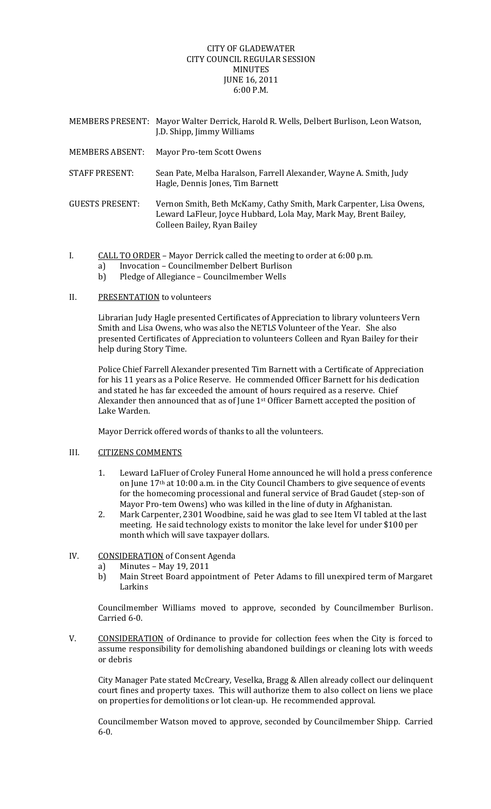## CITY OF GLADEWATER CITY COUNCIL REGULAR SESSION MINUTES JUNE 16, 2011 6:00 P.M.

|                        | MEMBERS PRESENT: Mayor Walter Derrick, Harold R. Wells, Delbert Burlison, Leon Watson,<br>J.D. Shipp, Jimmy Williams                                                   |
|------------------------|------------------------------------------------------------------------------------------------------------------------------------------------------------------------|
| <b>MEMBERS ABSENT:</b> | Mayor Pro-tem Scott Owens                                                                                                                                              |
| <b>STAFF PRESENT:</b>  | Sean Pate, Melba Haralson, Farrell Alexander, Wayne A. Smith, Judy<br>Hagle, Dennis Jones, Tim Barnett                                                                 |
| <b>GUESTS PRESENT:</b> | Vernon Smith, Beth McKamy, Cathy Smith, Mark Carpenter, Lisa Owens,<br>Leward LaFleur, Joyce Hubbard, Lola May, Mark May, Brent Bailey,<br>Colleen Bailey, Ryan Bailey |

I. CALL TO ORDER – Mayor Derrick called the meeting to order at 6:00 p.m.

- a) Invocation Councilmember Delbert Burlison
- b) Pledge of Allegiance Councilmember Wells

### II. PRESENTATION to volunteers

Librarian Judy Hagle presented Certificates of Appreciation to library volunteers Vern Smith and Lisa Owens, who was also the NETLS Volunteer of the Year. She also presented Certificates of Appreciation to volunteers Colleen and Ryan Bailey for their help during Story Time.

Police Chief Farrell Alexander presented Tim Barnett with a Certificate of Appreciation for his 11 years as a Police Reserve. He commended Officer Barnett for his dedication and stated he has far exceeded the amount of hours required as a reserve. Chief Alexander then announced that as of June 1st Officer Barnett accepted the position of Lake Warden.

Mayor Derrick offered words of thanks to all the volunteers.

# III. CITIZENS COMMENTS

- 1. Leward LaFluer of Croley Funeral Home announced he will hold a press conference on June 17th at 10:00 a.m. in the City Council Chambers to give sequence of events for the homecoming processional and funeral service of Brad Gaudet (step-son of Mayor Pro-tem Owens) who was killed in the line of duty in Afghanistan.
- 2. Mark Carpenter, 2301 Woodbine, said he was glad to see Item VI tabled at the last meeting. He said technology exists to monitor the lake level for under \$100 per month which will save taxpayer dollars.

# IV. CONSIDERATION of Consent Agenda

- a) Minutes May 19, 2011
- b) Main Street Board appointment of Peter Adams to fill unexpired term of Margaret Larkins

Councilmember Williams moved to approve, seconded by Councilmember Burlison. Carried 6‐0.

V. CONSIDERATION of Ordinance to provide for collection fees when the City is forced to assume responsibility for demolishing abandoned buildings or cleaning lots with weeds or debris

City Manager Pate stated McCreary, Veselka, Bragg & Allen already collect our delinquent court fines and property taxes. This will authorize them to also collect on liens we place on properties for demolitions or lot clean‐up. He recommended approval.

Councilmember Watson moved to approve, seconded by Councilmember Shipp. Carried  $6 - 0.$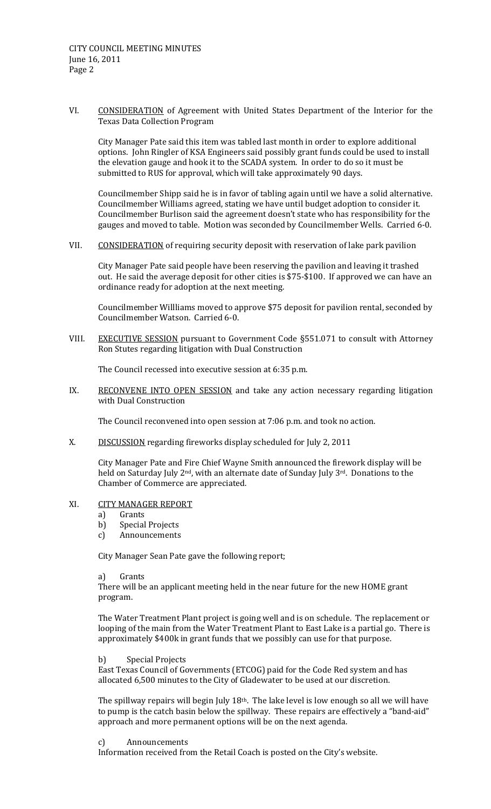VI. CONSIDERATION of Agreement with United States Department of the Interior for the Texas Data Collection Program

City Manager Pate said this item was tabled last month in order to explore additional options. John Ringler of KSA Engineers said possibly grant funds could be used to install the elevation gauge and hook it to the SCADA system. In order to do so it must be submitted to RUS for approval, which will take approximately 90 days.

Councilmember Shipp said he is in favor of tabling again until we have a solid alternative. Councilmember Williams agreed, stating we have until budget adoption to consider it. Councilmember Burlison said the agreement doesn't state who has responsibility for the gauges and moved to table. Motion was seconded by Councilmember Wells. Carried 6‐0.

VII. CONSIDERATION of requiring security deposit with reservation of lake park pavilion

City Manager Pate said people have been reserving the pavilion and leaving it trashed out. He said the average deposit for other cities is \$75‐\$100. If approved we can have an ordinance ready for adoption at the next meeting.

Councilmember Willliams moved to approve \$75 deposit for pavilion rental, seconded by Councilmember Watson. Carried 6‐0.

VIII. EXECUTIVE SESSION pursuant to Government Code §551.071 to consult with Attorney Ron Stutes regarding litigation with Dual Construction

The Council recessed into executive session at 6:35 p.m.

IX. RECONVENE INTO OPEN SESSION and take any action necessary regarding litigation with Dual Construction

The Council reconvened into open session at 7:06 p.m. and took no action.

X. DISCUSSION regarding fireworks display scheduled for July 2, 2011

City Manager Pate and Fire Chief Wayne Smith announced the firework display will be held on Saturday July 2<sup>nd</sup>, with an alternate date of Sunday July 3<sup>rd</sup>. Donations to the Chamber of Commerce are appreciated.

#### XI. CITY MANAGER REPORT

- a) Grants
- b) Special Projects
- c) Announcements

City Manager Sean Pate gave the following report;

a) Grants

There will be an applicant meeting held in the near future for the new HOME grant program.

The Water Treatment Plant project is going well and is on schedule. The replacement or looping of the main from the Water Treatment Plant to East Lake is a partial go. There is approximately \$400k in grant funds that we possibly can use for that purpose.

#### b) Special Projects

East Texas Council of Governments (ETCOG) paid for the Code Red system and has allocated 6,500 minutes to the City of Gladewater to be used at our discretion.

The spillway repairs will begin July  $18<sup>th</sup>$ . The lake level is low enough so all we will have to pump is the catch basin below the spillway. These repairs are effectively a "band-aid" approach and more permanent options will be on the next agenda.

#### c) Announcements

Information received from the Retail Coach is posted on the City's website.